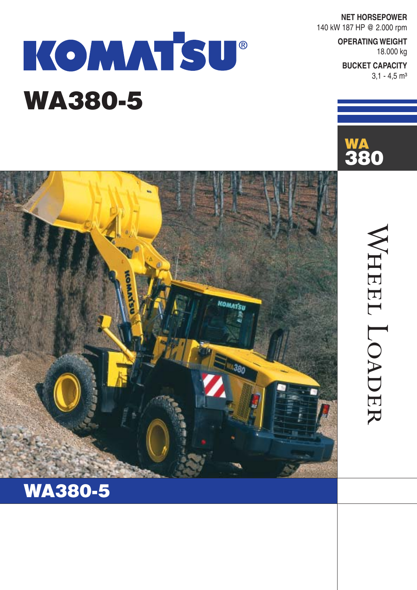**NET HORSEPOWER** 140 kW 187 HP @ 2.000 rpm

**WA**

**380**

**OPERATING WEIGHT** 18.000 kg

**BUCKET CAPACITY**  $3,1 - 4,5$  m<sup>3</sup>

WHEEL LOADER

WHEEL LOADER

# KOMMTSU® **WA380-5**



### **WA380-5**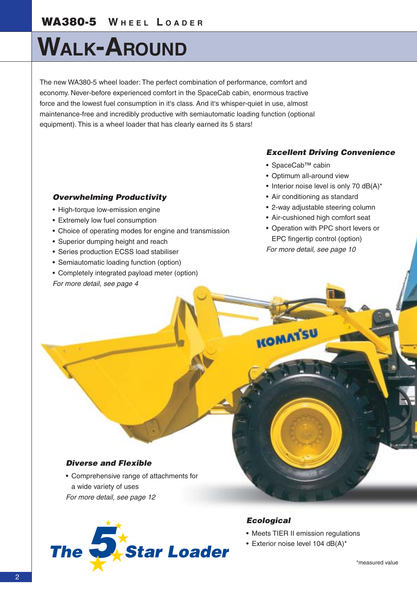## **WALK-AROUND**

The new WA380-5 wheel loader: The perfect combination of performance, comfort and economy. Never-before experienced comfort in the SpaceCab cabin, enormous tractive force and the lowest fuel consumption in it's class. And it's whisper-quiet in use, almost maintenance-free and incredibly productive with semiautomatic loading function (optional equipment). This is a wheel loader that has clearly earned its 5 stars!

### *Excellent Driving Convenience*

- SpaceCab™ cabin
- Optimum all-around view
- Interior noise level is only 70 dB(A)\*
- Air conditioning as standard
- 2-way adjustable steering column
- Air-cushioned high comfort seat
- Operation with PPC short levers or EPC fingertip control (option) *For more detail, see page 10*

#### *Overwhelming Productivity*

- High-torque low-emission engine
- Extremely low fuel consumption
- Choice of operating modes for engine and transmission
- Superior dumping height and reach
- Series production ECSS load stabiliser
- Semiautomatic loading function (option)
- Completely integrated payload meter (option) *For more detail, see page 4*

### *Diverse and Flexible*

• Comprehensive range of attachments for a wide variety of uses *For more detail, see page 12*



#### *Ecological*

- Meets TIER II emission regulations
- 

**KOMAT'SU**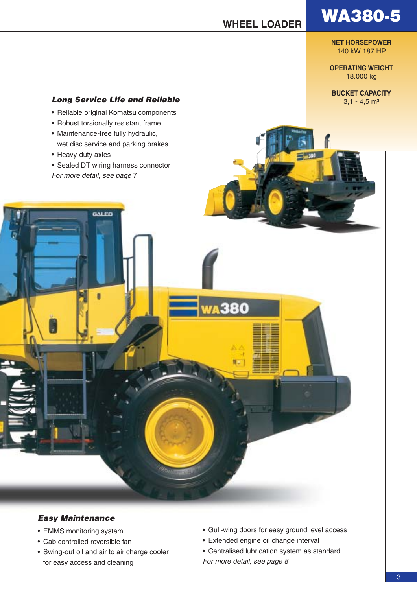**NET HORSEPOWER** 140 kW 187 HP

**OPERATING WEIGHT** 18.000 kg

**BUCKET CAPACITY**

### **Long Service Life and Reliable** 3,1 - 4,5 m<sup>3</sup>

- Reliable original Komatsu components
- Robust torsionally resistant frame
- Maintenance-free fully hydraulic, wet disc service and parking brakes
- Heavy-duty axles
- Sealed DT wiring harness connector *For more detail, see page* 7

**GALER** 



- EMMS monitoring system
- Cab controlled reversible fan
- Swing-out oil and air to air charge cooler for easy access and cleaning
- Gull-wing doors for easy ground level access
- Extended engine oil change interval

380

• Centralised lubrication system as standard *For more detail, see page 8*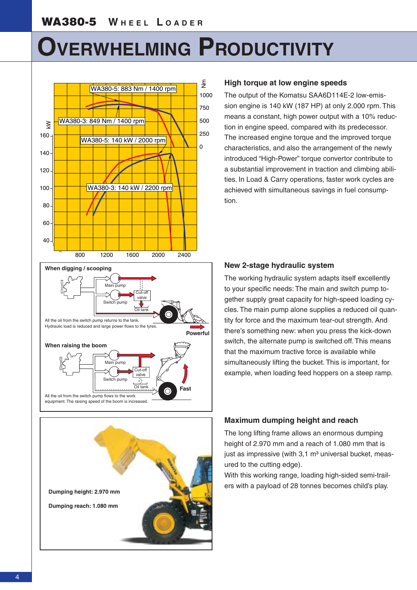### **OVERWHELMING PRODUCTIVITY**





#### **High torque at low engine speeds**

The output of the Komatsu SAA6D114E-2 low-emission engine is 140 kW (187 HP) at only 2,000 rpm. This means a constant, high power output with a 10% reduction in engine speed, compared with its predecessor. The increased engine torque and the improved torque characteristics, and also the arrangement of the newly introduced "High-Power" torque convertor contribute to a substantial improvement in traction and climbing abilities. In Load & Carry operations, faster work cycles are achieved with simultaneous savings in fuel consumption.

#### **New 2-stage hydraulic system**

The working hydraulic system adapts itself excellently to your specific needs: The main and switch pump together supply great capacity for high-speed loading cycles. The main pump alone supplies a reduced oil quantity for force and the maximum tear-out strength. And there's something new: when you press the kick-down switch, the alternate pump is switched off. This means that the maximum tractive force is available while simultaneously lifting the bucket. This is important, for example, when loading feed hoppers on a steep ramp.

#### **Maximum dumping height and reach**

The long lifting frame allows an enormous dumping height of 2.970 mm and a reach of 1.080 mm that is just as impressive (with  $3.1 \text{ m}^3$  universal bucket, measured to the cutting edge).

With this working range, loading high-sided semi-trailers with a payload of 28 tonnes becomes child's play.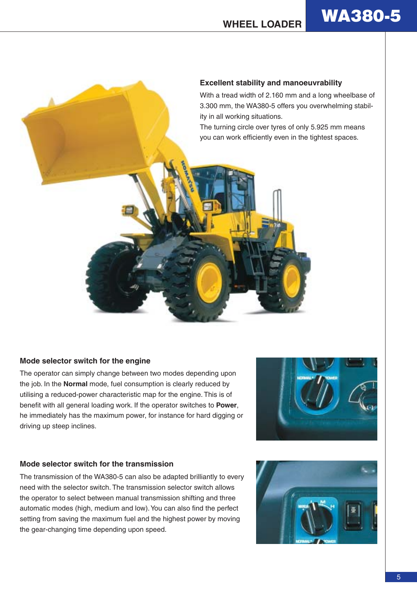

#### **Mode selector switch for the engine**

The operator can simply change between two modes depending upon the job. In the **Normal** mode, fuel consumption is clearly reduced by utilising a reduced-power characteristic map for the engine. This is of benefit with all general loading work. If the operator switches to **Power**, he immediately has the maximum power, for instance for hard digging or driving up steep inclines.



#### **Mode selector switch for the transmission**

The transmission of the WA380-5 can also be adapted brilliantly to every need with the selector switch. The transmission selector switch allows the operator to select between manual transmission shifting and three automatic modes (high, medium and low). You can also find the perfect setting from saving the maximum fuel and the highest power by moving the gear-changing time depending upon speed.

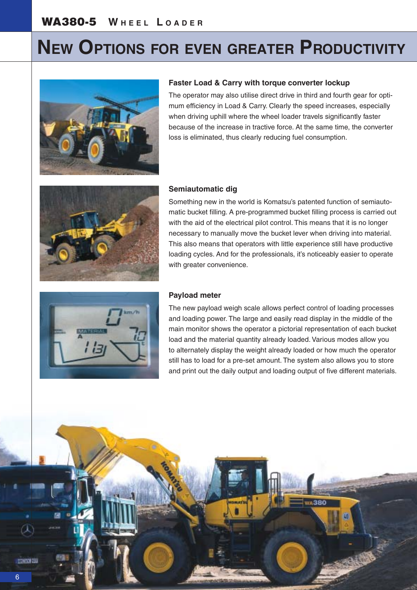### **NEW OPTIONS FOR EVEN GREATER PRODUCTIVITY**



#### **Faster Load & Carry with torque converter lockup**

The operator may also utilise direct drive in third and fourth gear for optimum efficiency in Load & Carry. Clearly the speed increases, especially when driving uphill where the wheel loader travels significantly faster because of the increase in tractive force. At the same time, the converter loss is eliminated, thus clearly reducing fuel consumption.



#### **Semiautomatic dig**

Something new in the world is Komatsu's patented function of semiautomatic bucket filling. A pre-programmed bucket filling process is carried out with the aid of the electrical pilot control. This means that it is no longer necessary to manually move the bucket lever when driving into material. This also means that operators with little experience still have productive loading cycles. And for the professionals, it's noticeably easier to operate with greater convenience.



#### **Payload meter**

The new payload weigh scale allows perfect control of loading processes and loading power. The large and easily read display in the middle of the main monitor shows the operator a pictorial representation of each bucket load and the material quantity already loaded. Various modes allow you to alternately display the weight already loaded or how much the operator still has to load for a pre-set amount. The system also allows you to store and print out the daily output and loading output of five different materials.

α

**TINYE**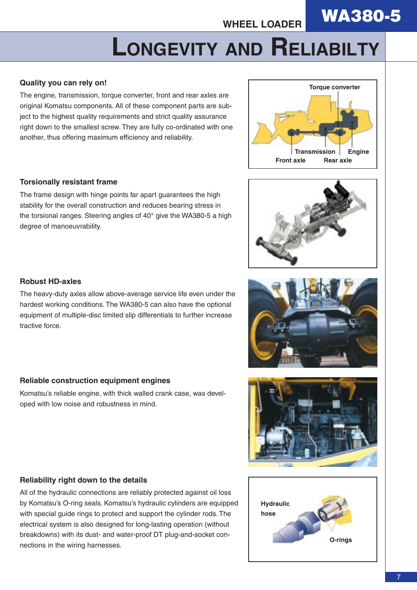**WA380-5** 

## **LONGEVITY AND RELIABILTY**

### **Quality you can rely on!**

The engine, transmission, torque converter, front and rear axles are original Komatsu components. All of these component parts are subject to the highest quality requirements and strict quality assurance right down to the smallest screw. They are fully co-ordinated with one another, thus offering maximum efficiency and reliability.



#### **Torsionally resistant frame**

The frame design with hinge points far apart guarantees the high stability for the overall construction and reduces bearing stress in the torsional ranges. Steering angles of 40° give the WA380-5 a high degree of manoeuvrability.



#### **Robust HD-axles**

The heavy-duty axles allow above-average service life even under the hardest working conditions. The WA380-5 can also have the optional equipment of multiple-disc limited slip differentials to further increase tractive force.

#### **Reliable construction equipment engines**

Komatsu's reliable engine, with thick walled crank case, was developed with low noise and robustness in mind.



#### **Reliability right down to the details**

All of the hydraulic connections are reliably protected against oil loss by Komatsu's O-ring seals. Komatsu's hydraulic cylinders are equipped with special guide rings to protect and support the cylinder rods. The electrical system is also designed for long-lasting operation (without breakdowns) with its dust- and water-proof DT plug-and-socket connections in the wiring harnesses.

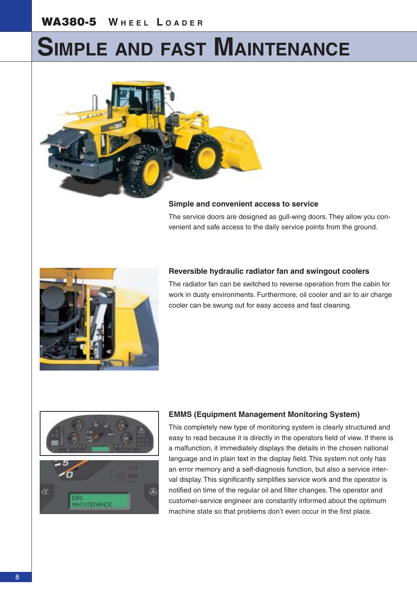### **SIMPLE AND FAST MAINTENANCE**



#### **Simple and convenient access to service**

The service doors are designed as gull-wing doors. They allow you convenient and safe access to the daily service points from the ground.



#### **Reversible hydraulic radiator fan and swingout coolers**

The radiator fan can be switched to reverse operation from the cabin for work in dusty environments. Furthermore, oil cooler and air to air charge cooler can be swung out for easy access and fast cleaning.



#### **EMMS (Equipment Management Monitoring System)**

This completely new type of monitoring system is clearly structured and easy to read because it is directly in the operators field of view. If there is a malfunction, it immediately displays the details in the chosen national language and in plain text in the display field. This system not only has an error memory and a self-diagnosis function, but also a service interval display. This significantly simplifies service work and the operator is notified on time of the regular oil and filter changes. The operator and customer-service engineer are constantly informed about the optimum machine state so that problems don't even occur in the first place.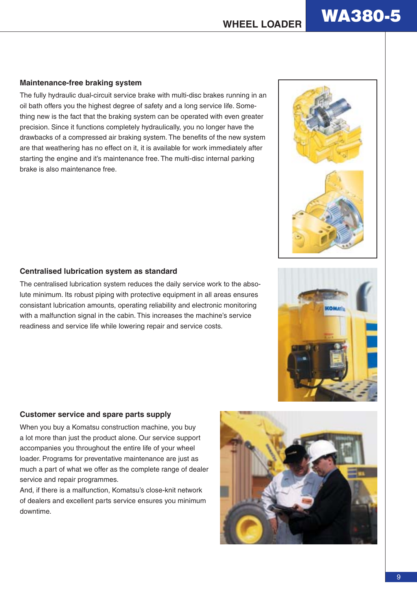#### **Maintenance-free braking system**

The fully hydraulic dual-circuit service brake with multi-disc brakes running in an oil bath offers you the highest degree of safety and a long service life. Something new is the fact that the braking system can be operated with even greater precision. Since it functions completely hydraulically, you no longer have the drawbacks of a compressed air braking system. The benefits of the new system are that weathering has no effect on it, it is available for work immediately after starting the engine and it's maintenance free. The multi-disc internal parking brake is also maintenance free.

#### **Centralised lubrication system as standard**

The centralised lubrication system reduces the daily service work to the absolute minimum. Its robust piping with protective equipment in all areas ensures consistant lubrication amounts, operating reliability and electronic monitoring with a malfunction signal in the cabin. This increases the machine's service readiness and service life while lowering repair and service costs.

#### **Customer service and spare parts supply**

When you buy a Komatsu construction machine, you buy a lot more than just the product alone. Our service support accompanies you throughout the entire life of your wheel loader. Programs for preventative maintenance are just as much a part of what we offer as the complete range of dealer service and repair programmes.

And, if there is a malfunction, Komatsu's close-knit network of dealers and excellent parts service ensures you minimum downtime.

9



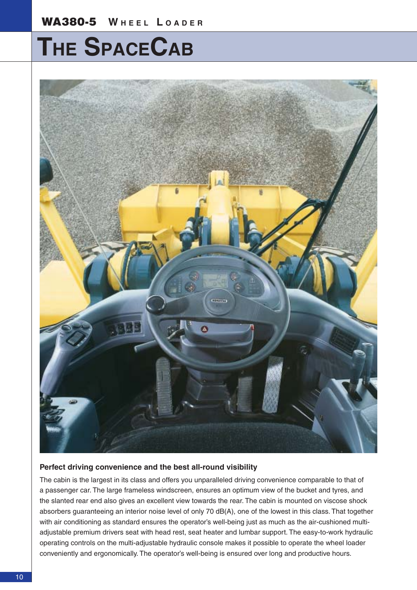### **THE SPACECAB**



#### **Perfect driving convenience and the best all-round visibility**

The cabin is the largest in its class and offers you unparalleled driving convenience comparable to that of a passenger car. The large frameless windscreen, ensures an optimum view of the bucket and tyres, and the slanted rear end also gives an excellent view towards the rear. The cabin is mounted on viscose shock absorbers guaranteeing an interior noise level of only 70 dB(A), one of the lowest in this class. That together with air conditioning as standard ensures the operator's well-being just as much as the air-cushioned multiadjustable premium drivers seat with head rest, seat heater and lumbar support. The easy-to-work hydraulic operating controls on the multi-adjustable hydraulic console makes it possible to operate the wheel loader conveniently and ergonomically. The operator's well-being is ensured over long and productive hours.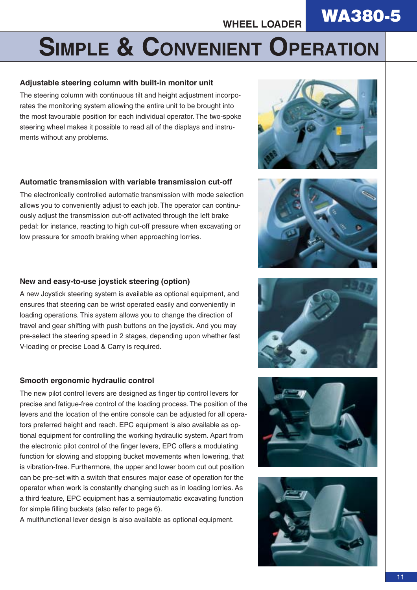### **WA380-5**

## **SIMPLE & CONVENIENT OPERATION**

### **Adjustable steering column with built-in monitor unit**

The steering column with continuous tilt and height adjustment incorporates the monitoring system allowing the entire unit to be brought into the most favourable position for each individual operator. The two-spoke steering wheel makes it possible to read all of the displays and instruments without any problems.

### **Automatic transmission with variable transmission cut-off**

The electronically controlled automatic transmission with mode selection allows you to conveniently adjust to each job. The operator can continuously adjust the transmission cut-off activated through the left brake pedal: for instance, reacting to high cut-off pressure when excavating or low pressure for smooth braking when approaching lorries.

### **New and easy-to-use joystick steering (option)**

A new Joystick steering system is available as optional equipment, and ensures that steering can be wrist operated easily and conveniently in loading operations. This system allows you to change the direction of travel and gear shifting with push buttons on the joystick. And you may pre-select the steering speed in 2 stages, depending upon whether fast V-loading or precise Load & Carry is required.

#### **Smooth ergonomic hydraulic control**

The new pilot control levers are designed as finger tip control levers for precise and fatigue-free control of the loading process. The position of the levers and the location of the entire console can be adjusted for all operators preferred height and reach. EPC equipment is also available as optional equipment for controlling the working hydraulic system. Apart from the electronic pilot control of the finger levers, EPC offers a modulating function for slowing and stopping bucket movements when lowering, that is vibration-free. Furthermore, the upper and lower boom cut out position can be pre-set with a switch that ensures major ease of operation for the operator when work is constantly changing such as in loading lorries. As a third feature, EPC equipment has a semiautomatic excavating function for simple filling buckets (also refer to page 6).

A multifunctional lever design is also available as optional equipment.









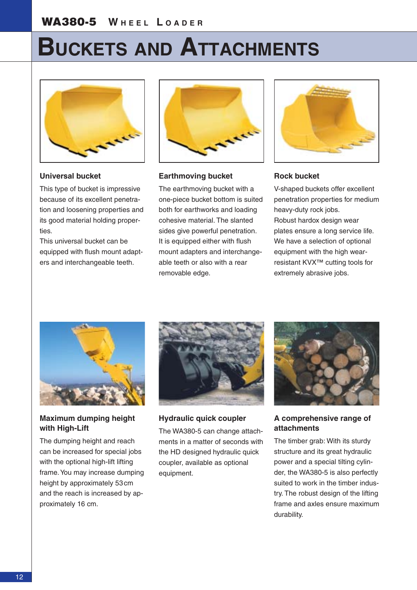### **BUCKETS AND ATTACHMENTS**



**Universal bucket**

This type of bucket is impressive because of its excellent penetration and loosening properties and its good material holding properties.

This universal bucket can be equipped with flush mount adapters and interchangeable teeth.



#### **Earthmoving bucket**

The earthmoving bucket with a one-piece bucket bottom is suited both for earthworks and loading cohesive material. The slanted sides give powerful penetration. It is equipped either with flush mount adapters and interchangeable teeth or also with a rear removable edge.



#### **Rock bucket**

V-shaped buckets offer excellent penetration properties for medium heavy-duty rock jobs. Robust hardox design wear plates ensure a long service life. We have a selection of optional equipment with the high wearresistant KVX™ cutting tools for extremely abrasive jobs.



#### **Maximum dumping height with High-Lift**

The dumping height and reach can be increased for special jobs with the optional high-lift lifting frame. You may increase dumping height by approximately 53 cm and the reach is increased by approximately 16 cm.



**Hydraulic quick coupler**

The WA380-5 can change attachments in a matter of seconds with the HD designed hydraulic quick coupler, available as optional equipment.



#### **A comprehensive range of attachments**

The timber grab: With its sturdy structure and its great hydraulic power and a special tilting cylinder, the WA380-5 is also perfectly suited to work in the timber industry. The robust design of the lifting frame and axles ensure maximum durability.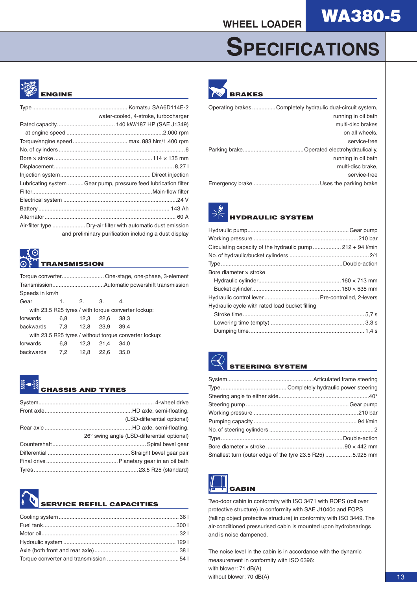## **SPECIFICATIONS**



| water-cooled, 4-stroke, turbocharger                           |
|----------------------------------------------------------------|
|                                                                |
|                                                                |
|                                                                |
|                                                                |
|                                                                |
|                                                                |
|                                                                |
| Lubricating system Gear pump, pressure feed lubrication filter |
|                                                                |
|                                                                |
|                                                                |
|                                                                |
|                                                                |
| and preliminary purification including a dust display          |

### **TRANSMISSION**

|                                                        |          |      | Torque converter One-stage, one-phase, 3-element |      |  |  |  |  |
|--------------------------------------------------------|----------|------|--------------------------------------------------|------|--|--|--|--|
|                                                        |          |      |                                                  |      |  |  |  |  |
| Speeds in km/h                                         |          |      |                                                  |      |  |  |  |  |
| Gear                                                   | 2.<br>1. |      | -3.                                              | 4.   |  |  |  |  |
| with 23.5 R25 tyres / with torque converter lockup:    |          |      |                                                  |      |  |  |  |  |
| forwards                                               | 6.8      |      | 12,3 22,6                                        | 38.3 |  |  |  |  |
| backwards 7.3 12.8 23.9                                |          |      |                                                  | 39.4 |  |  |  |  |
| with 23.5 R25 tyres / without torque converter lockup: |          |      |                                                  |      |  |  |  |  |
| forwards                                               | 6,8      | 12,3 | 21,4                                             | 34.0 |  |  |  |  |
| backwards 7,2 12,8 22,6                                |          |      |                                                  | 35,0 |  |  |  |  |
|                                                        |          |      |                                                  |      |  |  |  |  |



#### **CHASSIS AND TYRES**

| (LSD-differential optional)                 |
|---------------------------------------------|
|                                             |
| 26° swing angle (LSD-differential optional) |
|                                             |
|                                             |
|                                             |
|                                             |





| Operating brakesCompletely hydraulic dual-circuit system, |                     |
|-----------------------------------------------------------|---------------------|
|                                                           | running in oil bath |
|                                                           | multi-disc brakes   |
|                                                           | on all wheels.      |
|                                                           | service-free        |
|                                                           |                     |
|                                                           | running in oil bath |
|                                                           | multi-disc brake,   |
|                                                           | service-free        |
|                                                           |                     |
|                                                           |                     |



| Circulating capacity of the hydraulic pump  212 + 94 l/min |  |
|------------------------------------------------------------|--|
|                                                            |  |
|                                                            |  |
| Bore diameter x stroke                                     |  |
|                                                            |  |
|                                                            |  |
|                                                            |  |
| Hydraulic cycle with rated load bucket filling             |  |
|                                                            |  |
|                                                            |  |
|                                                            |  |
|                                                            |  |

### **EERING SYSTEM**

| Smallest turn (outer edge of the tyre 23.5 R25)  5.925 mm |
|-----------------------------------------------------------|



Two-door cabin in conformity with ISO 3471 with ROPS (roll over protective structure) in conformity with SAE J1040c and FOPS (falling object protective structure) in conformity with ISO 3449. The air-conditioned pressurised cabin is mounted upon hydrobearings and is noise dampened.

The noise level in the cabin is in accordance with the dynamic measurement in conformity with ISO 6396: with blower: 71 dB(A) without blower: 70 dB(A)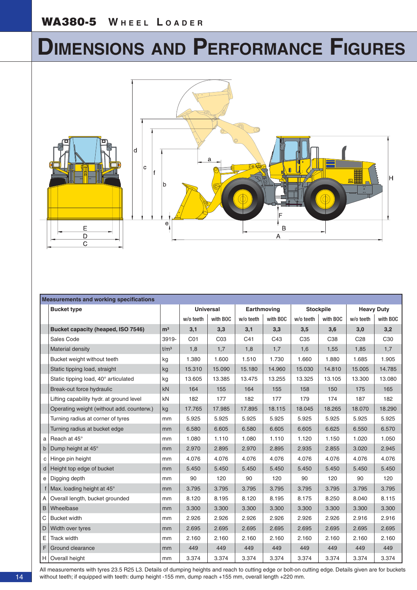## **DIMENSIONS AND PERFORMANCE FIGURES**



|              | <b>Measurements and working specifications</b> |                  |                  |                 |             |          |                  |          |                   |                 |
|--------------|------------------------------------------------|------------------|------------------|-----------------|-------------|----------|------------------|----------|-------------------|-----------------|
|              | <b>Bucket type</b>                             |                  | <b>Universal</b> |                 | Earthmoving |          | <b>Stockpile</b> |          | <b>Heavy Duty</b> |                 |
|              |                                                |                  | w/o teeth        | with BOC        | w/o teeth   | with BOC | w/o teeth        | with BOC | w/o teeth         | with BOC        |
|              | Bucket capacity (heaped, ISO 7546)             | m <sup>3</sup>   | 3,1              | 3,3             | 3,1         | 3,3      | 3,5              | 3,6      | 3,0               | 3,2             |
|              | Sales Code                                     | 3919-            | C <sub>01</sub>  | CO <sub>3</sub> | C41         | C43      | C <sub>35</sub>  | C38      | C <sub>28</sub>   | C <sub>30</sub> |
|              | <b>Material density</b>                        | t/m <sup>3</sup> | 1,8              | 1,7             | 1,8         | 1,7      | 1,6              | 1,55     | 1,85              | 1,7             |
|              | Bucket weight without teeth                    | kg               | 1.380            | 1.600           | 1.510       | 1.730    | 1.660            | 1.880    | 1.685             | 1.905           |
|              | Static tipping load, straight                  | kg               | 15.310           | 15.090          | 15.180      | 14.960   | 15.030           | 14.810   | 15.005            | 14.785          |
|              | Static tipping load, 40° articulated           | kg               | 13.605           | 13.385          | 13.475      | 13.255   | 13.325           | 13.105   | 13.300            | 13.080          |
|              | Break-out force hydraulic                      | kN               | 164              | 155             | 164         | 155      | 158              | 150      | 175               | 165             |
|              | Lifting capability hydr. at ground level       | kN               | 182              | 177             | 182         | 177      | 179              | 174      | 187               | 182             |
|              | Operating weight (without add. counterw.)      | kg               | 17.765           | 17.985          | 17.895      | 18.115   | 18.045           | 18.265   | 18.070            | 18.290          |
|              | Turning radius at corner of tyres              | mm               | 5.925            | 5.925           | 5.925       | 5.925    | 5.925            | 5.925    | 5.925             | 5.925           |
|              | Turning radius at bucket edge                  | mm               | 6.580            | 6.605           | 6.580       | 6.605    | 6.605            | 6.625    | 6.550             | 6.570           |
| a            | Reach at 45°                                   | mm               | 1.080            | 1.110           | 1.080       | 1.110    | 1.120            | 1.150    | 1.020             | 1.050           |
| $\mathsf{b}$ | Dump height at 45°                             | mm               | 2.970            | 2.895           | 2.970       | 2.895    | 2.935            | 2.855    | 3.020             | 2.945           |
| C            | Hinge pin height                               | mm               | 4.076            | 4.076           | 4.076       | 4.076    | 4.076            | 4.076    | 4.076             | 4.076           |
| d            | Height top edge of bucket                      | mm               | 5.450            | 5.450           | 5.450       | 5.450    | 5.450            | 5.450    | 5.450             | 5.450           |
| e            | Digging depth                                  | mm               | 90               | 120             | 90          | 120      | 90               | 120      | 90                | 120             |
|              | Max. loading height at 45°                     | mm               | 3.795            | 3.795           | 3.795       | 3.795    | 3.795            | 3.795    | 3.795             | 3.795           |
| $\mathsf{A}$ | Overall length, bucket grounded                | mm               | 8.120            | 8.195           | 8.120       | 8.195    | 8.175            | 8.250    | 8.040             | 8.115           |
| B            | Wheelbase                                      | mm               | 3.300            | 3.300           | 3.300       | 3.300    | 3.300            | 3.300    | 3.300             | 3.300           |
| С            | <b>Bucket width</b>                            | mm               | 2.926            | 2.926           | 2.926       | 2.926    | 2.926            | 2.926    | 2.916             | 2.916           |
| D            | Width over tyres                               | mm               | 2.695            | 2.695           | 2.695       | 2.695    | 2.695            | 2.695    | 2.695             | 2.695           |
| E            | Track width                                    | mm               | 2.160            | 2.160           | 2.160       | 2.160    | 2.160            | 2.160    | 2.160             | 2.160           |
| F.           | Ground clearance                               | mm               | 449              | 449             | 449         | 449      | 449              | 449      | 449               | 449             |
|              | H   Overall height                             | mm               | 3.374            | 3.374           | 3.374       | 3.374    | 3.374            | 3.374    | 3.374             | 3.374           |

All measurements with tyres 23.5 R25 L3. Details of dumping heights and reach to cutting edge or bolt-on cutting edge. Details given are for buckets without teeth; if equipped with teeth: dump height -155 mm, dump reach +155 mm, overall length +220 mm.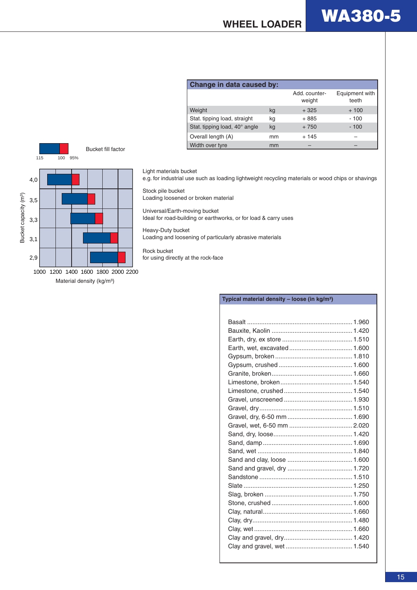



Light materials bucket

e.g. for industrial use such as loading lightweight recycling materials or wood chips or shavings

#### Stock pile bucket

Loading loosened or broken material

Universal/Earth-moving bucket Ideal for road-building or earthworks, or for load & carry uses

Heavy-Duty bucket Loading and loosening of particularly abrasive materials

Rock bucket for using directly at the rock-face

#### **Typical material density – loose (in kg/m³)** Basalt ............................................................ 1.960 Bauxite, Kaolin .............................................. 1.420 Earth, dry, ex store ........................................ 1.510 Earth, wet, excavated.................................... 1.600 Gypsum, broken ............................................ 1.810 Gypsum, crushed .......................................... 1.600 Granite, broken.............................................. 1.660 Limestone, broken......................................... 1.540 Limestone, crushed....................................... 1.540 Gravel, unscreened ....................................... 1.930 Gravel, dry..................................................... 1.510 Gravel, dry, 6-50 mm ..................................... 1.690 Gravel, wet, 6-50 mm .................................... 2.020 Sand, dry, loose............................................. 1.420 Sand, damp................................................... 1.690 Sand, wet ...................................................... 1.840 Sand and clay, loose ..................................... 1.600 Sand and gravel, dry ..................................... 1.720 Sandstone ..................................................... 1.510 Slate .............................................................. 1.250 Slag, broken .................................................. 1.750 Stone, crushed .............................................. 1.600 Clay, natural................................................... 1.660 Clay, dry......................................................... 1.480 Clay, wet ........................................................ 1.660 Clay and gravel, dry....................................... 1.420 Clay and gravel, wet ...................................... 1.540